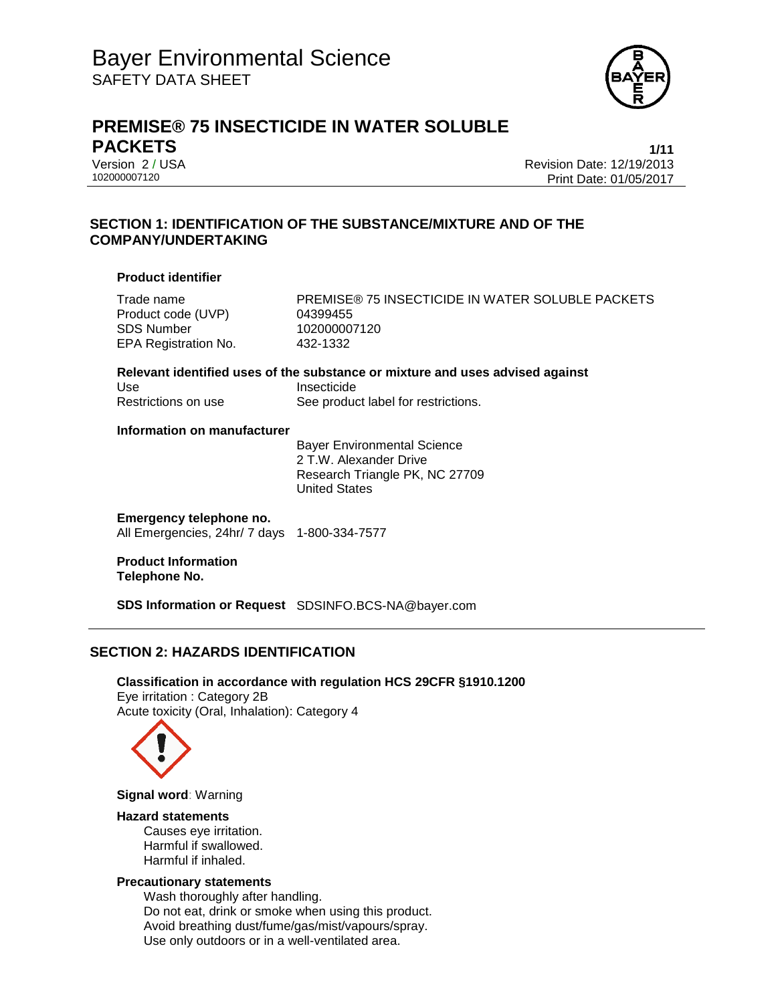

# **PREMISE® 75 INSECTICIDE IN WATER SOLUBLE PACKETS 1/11**

Version 2 / USA<br>10200007120<br>102000007120 Revision Date: 01/05/2017 Print Date: 01/05/2017

### **SECTION 1: IDENTIFICATION OF THE SUBSTANCE/MIXTURE AND OF THE COMPANY/UNDERTAKING**

### **Product identifier**

Product code (UVP) 04399455 SDS Number 102000007120 EPA Registration No. 432-1332

Trade name **PREMISE® 75 INSECTICIDE IN WATER SOLUBLE PACKETS** 

**Relevant identified uses of the substance or mixture and uses advised against** Use Insecticide Restrictions on use See product label for restrictions.

### **Information on manufacturer**

Bayer Environmental Science 2 T.W. Alexander Drive Research Triangle PK, NC 27709 United States

### **Emergency telephone no.**

All Emergencies, 24hr/ 7 days 1-800-334-7577

**Product Information Telephone No.**

**SDS Information or Request** SDSINFO.BCS-NA@bayer.com

### **SECTION 2: HAZARDS IDENTIFICATION**

**Classification in accordance with regulation HCS 29CFR §1910.1200** Eye irritation : Category 2B Acute toxicity (Oral, Inhalation): Category 4



**Signal word**: Warning

### **Hazard statements**

Causes eye irritation. Harmful if swallowed. Harmful if inhaled.

### **Precautionary statements**

Wash thoroughly after handling. Do not eat, drink or smoke when using this product. Avoid breathing dust/fume/gas/mist/vapours/spray. Use only outdoors or in a well-ventilated area.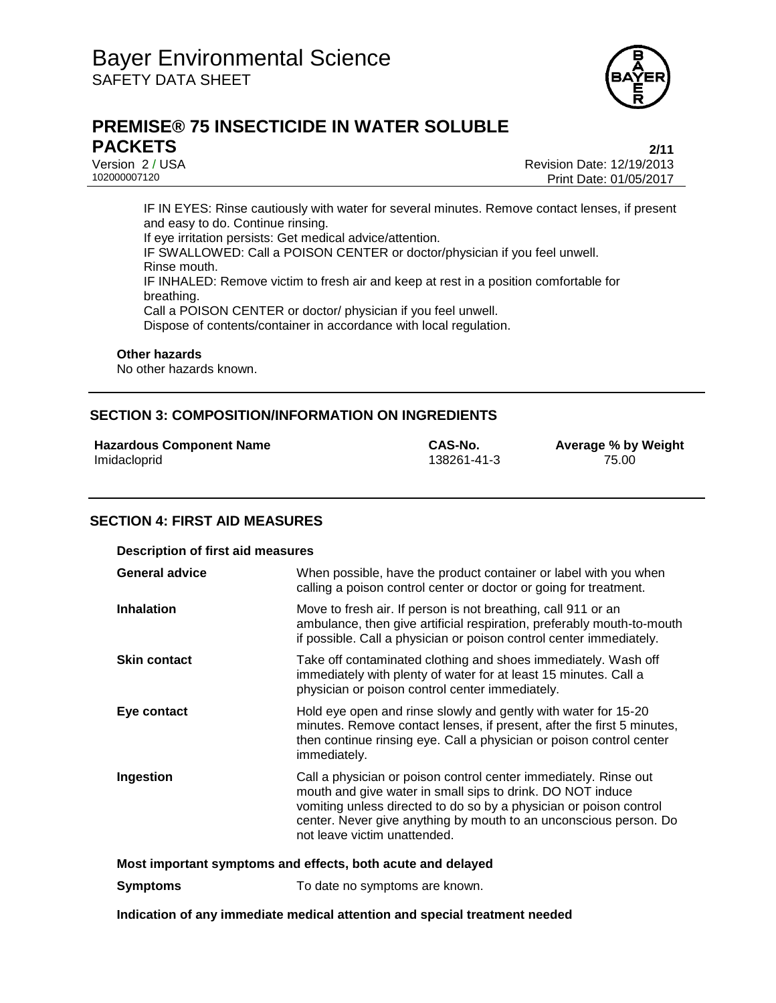

# **PREMISE® 75 INSECTICIDE IN WATER SOLUBLE PACKETS 2/11**

Version 2 / USA <br>10200007120<br>Print Date: 01/05/2017 Print Date: 01/05/2017

IF IN EYES: Rinse cautiously with water for several minutes. Remove contact lenses, if present and easy to do. Continue rinsing. If eye irritation persists: Get medical advice/attention. IF SWALLOWED: Call a POISON CENTER or doctor/physician if you feel unwell. Rinse mouth. IF INHALED: Remove victim to fresh air and keep at rest in a position comfortable for breathing. Call a POISON CENTER or doctor/ physician if you feel unwell. Dispose of contents/container in accordance with local regulation.

#### **Other hazards**

No other hazards known.

### **SECTION 3: COMPOSITION/INFORMATION ON INGREDIENTS**

|              | <b>Hazardous Component Name</b> |  |
|--------------|---------------------------------|--|
| Imidacloprid |                                 |  |

138261-41-3

**CAS-No. Average % by Weight** 138261-41-3 **CAS-No. Average % by Weight** 

### **SECTION 4: FIRST AID MEASURES**

| <b>Description of first aid measures</b>                    |                                                                                                                                                                                                                                                                                                           |  |
|-------------------------------------------------------------|-----------------------------------------------------------------------------------------------------------------------------------------------------------------------------------------------------------------------------------------------------------------------------------------------------------|--|
| <b>General advice</b>                                       | When possible, have the product container or label with you when<br>calling a poison control center or doctor or going for treatment.                                                                                                                                                                     |  |
| <b>Inhalation</b>                                           | Move to fresh air. If person is not breathing, call 911 or an<br>ambulance, then give artificial respiration, preferably mouth-to-mouth<br>if possible. Call a physician or poison control center immediately.                                                                                            |  |
| <b>Skin contact</b>                                         | Take off contaminated clothing and shoes immediately. Wash off<br>immediately with plenty of water for at least 15 minutes. Call a<br>physician or poison control center immediately.                                                                                                                     |  |
| Eye contact                                                 | Hold eye open and rinse slowly and gently with water for 15-20<br>minutes. Remove contact lenses, if present, after the first 5 minutes,<br>then continue rinsing eye. Call a physician or poison control center<br>immediately.                                                                          |  |
| Ingestion                                                   | Call a physician or poison control center immediately. Rinse out<br>mouth and give water in small sips to drink. DO NOT induce<br>vomiting unless directed to do so by a physician or poison control<br>center. Never give anything by mouth to an unconscious person. Do<br>not leave victim unattended. |  |
| Most important symptoms and effects, both acute and delayed |                                                                                                                                                                                                                                                                                                           |  |
| <b>Symptoms</b>                                             | To date no symptoms are known.                                                                                                                                                                                                                                                                            |  |

**Indication of any immediate medical attention and special treatment needed**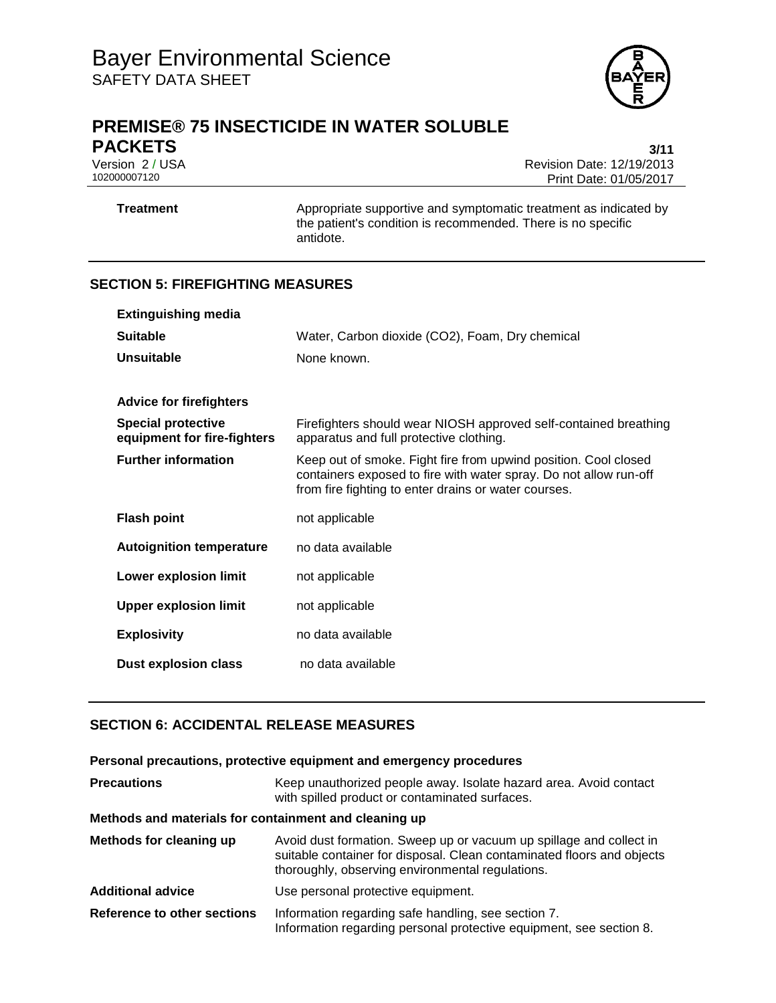

# **PREMISE® 75 INSECTICIDE IN WATER SOLUBLE PACKETS** 3/11

Version 2 / USA <br>10200007120<br>Print Date: 01/05/2017 Print Date: 01/05/2017

**Treatment** Appropriate supportive and symptomatic treatment as indicated by the patient's condition is recommended. There is no specific antidote.

### **SECTION 5: FIREFIGHTING MEASURES**

| <b>Extinguishing media</b>                               |                                                                                                                                                                                              |
|----------------------------------------------------------|----------------------------------------------------------------------------------------------------------------------------------------------------------------------------------------------|
| <b>Suitable</b>                                          | Water, Carbon dioxide (CO2), Foam, Dry chemical                                                                                                                                              |
| Unsuitable                                               | None known.                                                                                                                                                                                  |
|                                                          |                                                                                                                                                                                              |
| <b>Advice for firefighters</b>                           |                                                                                                                                                                                              |
| <b>Special protective</b><br>equipment for fire-fighters | Firefighters should wear NIOSH approved self-contained breathing<br>apparatus and full protective clothing.                                                                                  |
| <b>Further information</b>                               | Keep out of smoke. Fight fire from upwind position. Cool closed<br>containers exposed to fire with water spray. Do not allow run-off<br>from fire fighting to enter drains or water courses. |
| <b>Flash point</b>                                       | not applicable                                                                                                                                                                               |
| <b>Autoignition temperature</b>                          | no data available                                                                                                                                                                            |
| Lower explosion limit                                    | not applicable                                                                                                                                                                               |
| <b>Upper explosion limit</b>                             | not applicable                                                                                                                                                                               |
| <b>Explosivity</b>                                       | no data available                                                                                                                                                                            |
| <b>Dust explosion class</b>                              | no data available                                                                                                                                                                            |

### **SECTION 6: ACCIDENTAL RELEASE MEASURES**

### **Personal precautions, protective equipment and emergency procedures**

| <b>Precautions</b>                                    | Keep unauthorized people away. Isolate hazard area. Avoid contact<br>with spilled product or contaminated surfaces.                                                                               |
|-------------------------------------------------------|---------------------------------------------------------------------------------------------------------------------------------------------------------------------------------------------------|
| Methods and materials for containment and cleaning up |                                                                                                                                                                                                   |
| <b>Methods for cleaning up</b>                        | Avoid dust formation. Sweep up or vacuum up spillage and collect in<br>suitable container for disposal. Clean contaminated floors and objects<br>thoroughly, observing environmental regulations. |
| <b>Additional advice</b>                              | Use personal protective equipment.                                                                                                                                                                |
| Reference to other sections                           | Information regarding safe handling, see section 7.<br>Information regarding personal protective equipment, see section 8.                                                                        |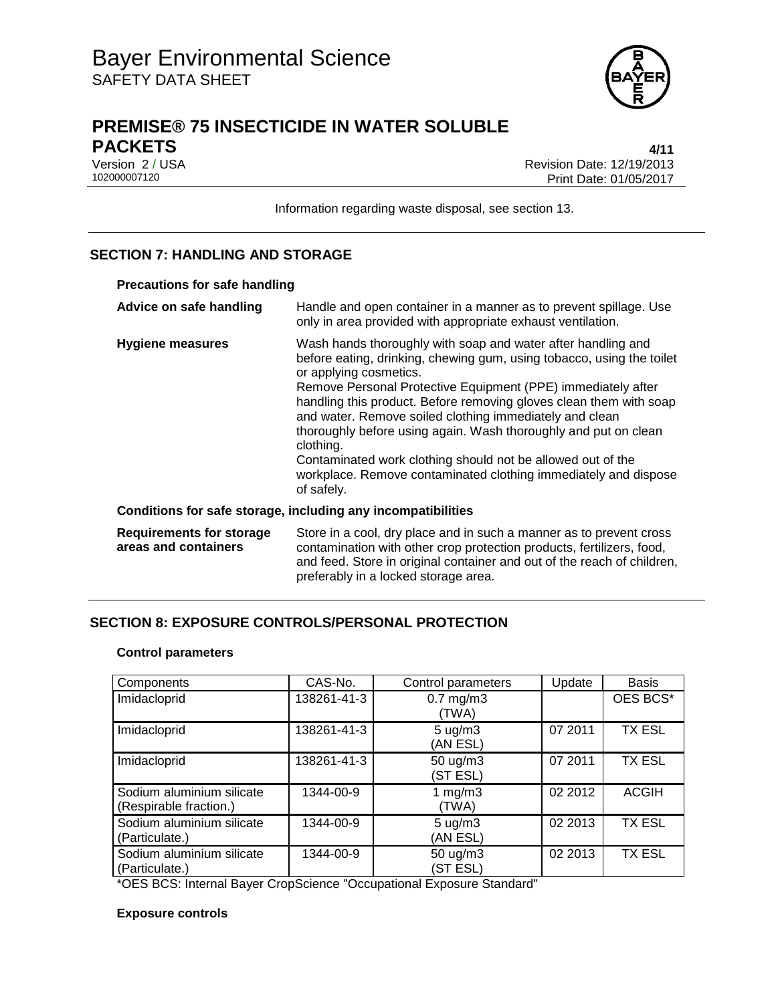

# **PREMISE® 75 INSECTICIDE IN WATER SOLUBLE PACKETS 4/11**

Version 2 / USA <br>10200007120<br>Print Date: 01/05/2017 Print Date: 01/05/2017

Information regarding waste disposal, see section 13.

### **SECTION 7: HANDLING AND STORAGE**

| <b>Precautions for safe handling</b>                         |                                                                                                                                                                                                                                                                                                                                                                                                                                                                                                                                                                                                  |  |
|--------------------------------------------------------------|--------------------------------------------------------------------------------------------------------------------------------------------------------------------------------------------------------------------------------------------------------------------------------------------------------------------------------------------------------------------------------------------------------------------------------------------------------------------------------------------------------------------------------------------------------------------------------------------------|--|
| Advice on safe handling                                      | Handle and open container in a manner as to prevent spillage. Use<br>only in area provided with appropriate exhaust ventilation.                                                                                                                                                                                                                                                                                                                                                                                                                                                                 |  |
| <b>Hygiene measures</b>                                      | Wash hands thoroughly with soap and water after handling and<br>before eating, drinking, chewing gum, using tobacco, using the toilet<br>or applying cosmetics.<br>Remove Personal Protective Equipment (PPE) immediately after<br>handling this product. Before removing gloves clean them with soap<br>and water. Remove soiled clothing immediately and clean<br>thoroughly before using again. Wash thoroughly and put on clean<br>clothing.<br>Contaminated work clothing should not be allowed out of the<br>workplace. Remove contaminated clothing immediately and dispose<br>of safely. |  |
| Conditions for safe storage, including any incompatibilities |                                                                                                                                                                                                                                                                                                                                                                                                                                                                                                                                                                                                  |  |
| <b>Requirements for storage</b><br>areas and containers      | Store in a cool, dry place and in such a manner as to prevent cross<br>contamination with other crop protection products, fertilizers, food,<br>and feed. Store in original container and out of the reach of children,<br>preferably in a locked storage area.                                                                                                                                                                                                                                                                                                                                  |  |

### **SECTION 8: EXPOSURE CONTROLS/PERSONAL PROTECTION**

### **Control parameters**

| Components                                          | CAS-No.     | Control parameters             | Update  | <b>Basis</b>  |
|-----------------------------------------------------|-------------|--------------------------------|---------|---------------|
| Imidacloprid                                        | 138261-41-3 | $0.7$ mg/m $3$<br>(TWA)        |         | OES BCS*      |
| Imidacloprid                                        | 138261-41-3 | $5 \text{ ug/m}$ 3<br>(AN ESL) | 07 2011 | <b>TX ESL</b> |
| Imidacloprid                                        | 138261-41-3 | 50 ug/m3<br>(ST ESL)           | 07 2011 | <b>TX ESL</b> |
| Sodium aluminium silicate<br>(Respirable fraction.) | 1344-00-9   | 1 mg/m $3$<br>(TWA)            | 02 2012 | <b>ACGIH</b>  |
| Sodium aluminium silicate<br>(Particulate.)         | 1344-00-9   | $5 \text{ ug/m}$ 3<br>(AN ESL) | 02 2013 | <b>TX ESL</b> |
| Sodium aluminium silicate<br>(Particulate.)         | 1344-00-9   | 50 ug/m3<br>(ST ESL)           | 02 2013 | <b>TX ESL</b> |

\*OES BCS: Internal Bayer CropScience "Occupational Exposure Standard"

### **Exposure controls**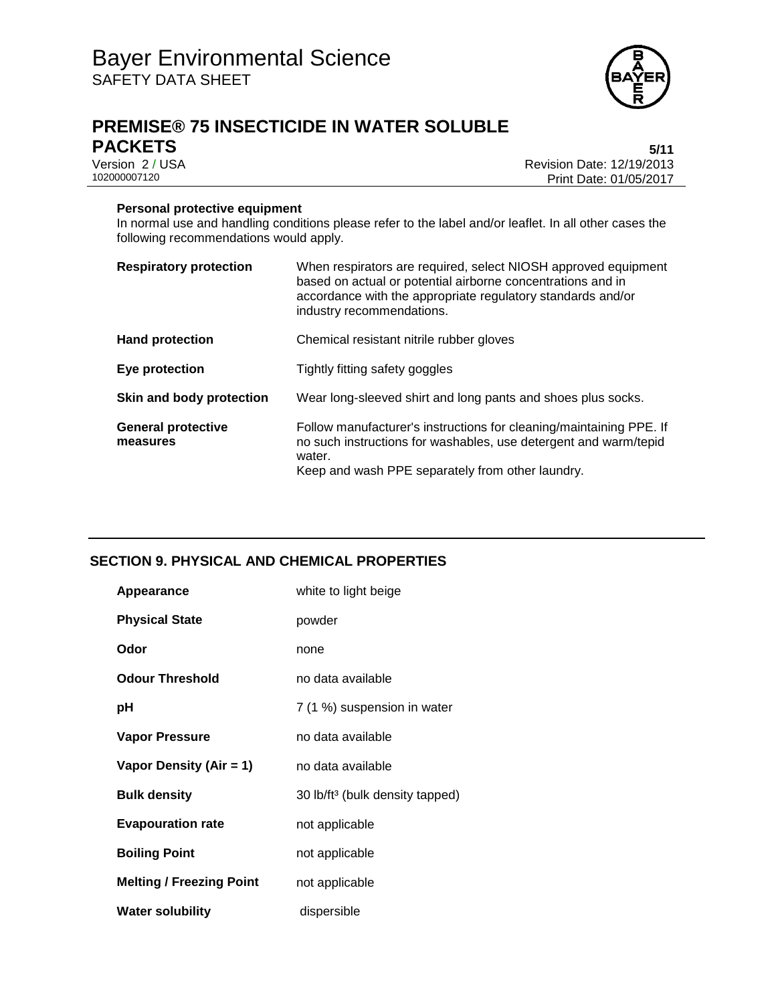

# **PREMISE® 75 INSECTICIDE IN WATER SOLUBLE PACKETS** 5/11<br>Version 2 / USA 6-12 12/19/2013

Version 2 / USA <br>10200007120<br>Print Date: 01/05/2017 Print Date: 01/05/2017

### **Personal protective equipment**

In normal use and handling conditions please refer to the label and/or leaflet. In all other cases the following recommendations would apply.

| <b>Respiratory protection</b>         | When respirators are required, select NIOSH approved equipment<br>based on actual or potential airborne concentrations and in<br>accordance with the appropriate regulatory standards and/or<br>industry recommendations. |
|---------------------------------------|---------------------------------------------------------------------------------------------------------------------------------------------------------------------------------------------------------------------------|
| <b>Hand protection</b>                | Chemical resistant nitrile rubber gloves                                                                                                                                                                                  |
| Eye protection                        | Tightly fitting safety goggles                                                                                                                                                                                            |
| Skin and body protection              | Wear long-sleeved shirt and long pants and shoes plus socks.                                                                                                                                                              |
| <b>General protective</b><br>measures | Follow manufacturer's instructions for cleaning/maintaining PPE. If<br>no such instructions for washables, use detergent and warm/tepid<br>water.<br>Keep and wash PPE separately from other laundry.                     |

### **SECTION 9. PHYSICAL AND CHEMICAL PROPERTIES**

| Appearance                      | white to light beige                        |
|---------------------------------|---------------------------------------------|
| <b>Physical State</b>           | powder                                      |
| Odor                            | none                                        |
| <b>Odour Threshold</b>          | no data available                           |
| рH                              | 7 (1 %) suspension in water                 |
| <b>Vapor Pressure</b>           | no data available                           |
| Vapor Density (Air = 1)         | no data available                           |
| <b>Bulk density</b>             | 30 lb/ft <sup>3</sup> (bulk density tapped) |
| <b>Evapouration rate</b>        | not applicable                              |
| <b>Boiling Point</b>            | not applicable                              |
| <b>Melting / Freezing Point</b> | not applicable                              |
| <b>Water solubility</b>         | dispersible                                 |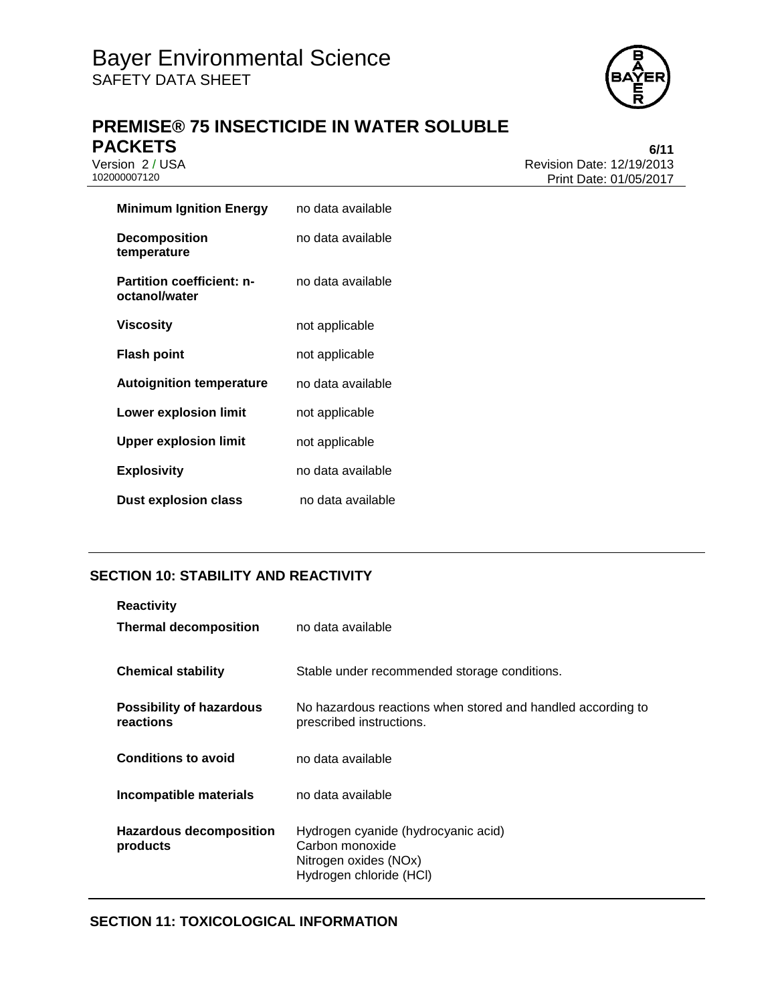

# **PREMISE® 75 INSECTICIDE IN WATER SOLUBLE PACKETS** 6/11<br>Version 2 / USA 6/11<br>Revision Date: 12/19/2013

Version 2 / USA <br>10200007120<br>Print Date: 01/05/2017 Print Date: 01/05/2017

| Minimum Ignition Energy                           | no data available |
|---------------------------------------------------|-------------------|
| <b>Decomposition</b><br>temperature               | no data available |
| <b>Partition coefficient: n-</b><br>octanol/water | no data available |
| Viscosity                                         | not applicable    |
| <b>Flash point</b>                                | not applicable    |
| <b>Autoignition temperature</b>                   | no data available |
| <b>Lower explosion limit</b>                      | not applicable    |
| <b>Upper explosion limit</b>                      | not applicable    |
| <b>Explosivity</b>                                | no data available |
| Dust explosion class                              | no data available |

### **SECTION 10: STABILITY AND REACTIVITY**

| <b>Reactivity</b><br><b>Thermal decomposition</b> | no data available                                                                                          |
|---------------------------------------------------|------------------------------------------------------------------------------------------------------------|
| <b>Chemical stability</b>                         | Stable under recommended storage conditions.                                                               |
| Possibility of hazardous<br>reactions             | No hazardous reactions when stored and handled according to<br>prescribed instructions.                    |
| <b>Conditions to avoid</b>                        | no data available                                                                                          |
| Incompatible materials                            | no data available                                                                                          |
| <b>Hazardous decomposition</b><br>products        | Hydrogen cyanide (hydrocyanic acid)<br>Carbon monoxide<br>Nitrogen oxides (NOx)<br>Hydrogen chloride (HCl) |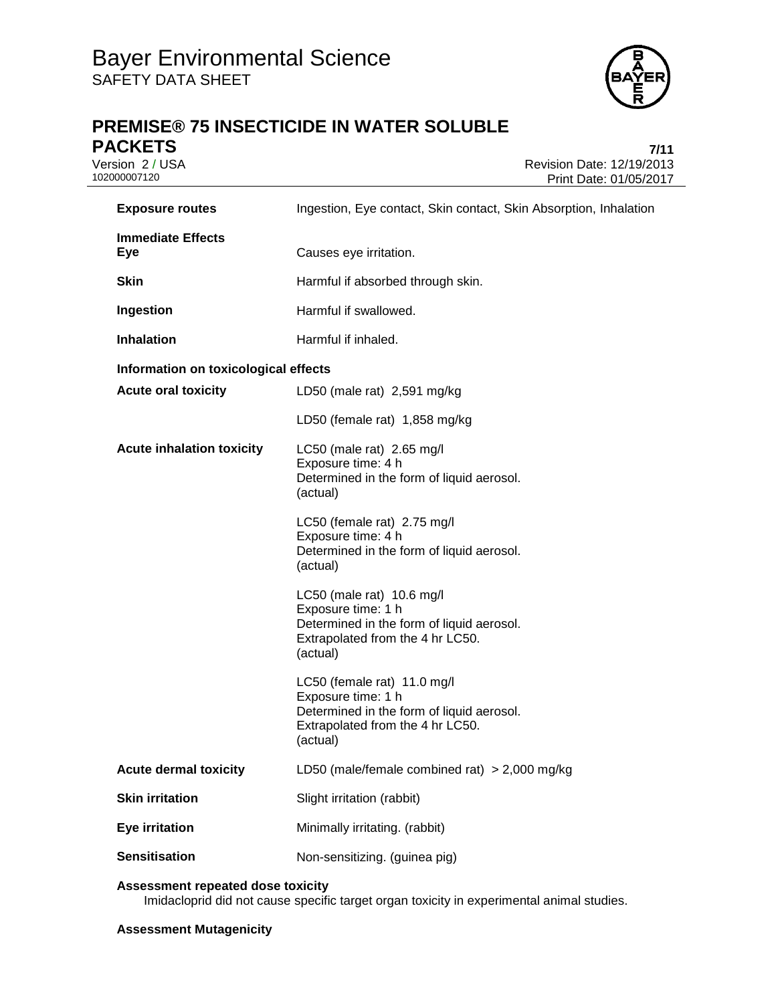

# **PREMISE® 75 INSECTICIDE IN WATER SOLUBLE PACKETS** 7/11<br>Version 2 / USA 7/15

Version 2 / USA <br>10200007120<br>Print Date: 01/05/2017 Print Date: 01/05/2017

| <b>Exposure routes</b>               | Ingestion, Eye contact, Skin contact, Skin Absorption, Inhalation                                                                              |
|--------------------------------------|------------------------------------------------------------------------------------------------------------------------------------------------|
| <b>Immediate Effects</b><br>Eye      | Causes eye irritation.                                                                                                                         |
| <b>Skin</b>                          | Harmful if absorbed through skin.                                                                                                              |
| Ingestion                            | Harmful if swallowed.                                                                                                                          |
| <b>Inhalation</b>                    | Harmful if inhaled.                                                                                                                            |
| Information on toxicological effects |                                                                                                                                                |
| <b>Acute oral toxicity</b>           | LD50 (male rat) 2,591 mg/kg                                                                                                                    |
|                                      | LD50 (female rat) 1,858 mg/kg                                                                                                                  |
| <b>Acute inhalation toxicity</b>     | LC50 (male rat) 2.65 mg/l<br>Exposure time: 4 h<br>Determined in the form of liquid aerosol.<br>(actual)                                       |
|                                      | LC50 (female rat) 2.75 mg/l<br>Exposure time: 4 h<br>Determined in the form of liquid aerosol.<br>(actual)                                     |
|                                      | LC50 (male rat) $10.6$ mg/l<br>Exposure time: 1 h<br>Determined in the form of liquid aerosol.<br>Extrapolated from the 4 hr LC50.<br>(actual) |
|                                      | LC50 (female rat) 11.0 mg/l<br>Exposure time: 1 h<br>Determined in the form of liquid aerosol.<br>Extrapolated from the 4 hr LC50.<br>(actual) |
| <b>Acute dermal toxicity</b>         | LD50 (male/female combined rat) $>$ 2,000 mg/kg                                                                                                |
| <b>Skin irritation</b>               | Slight irritation (rabbit)                                                                                                                     |
| <b>Eye irritation</b>                | Minimally irritating. (rabbit)                                                                                                                 |
| <b>Sensitisation</b>                 | Non-sensitizing. (guinea pig)                                                                                                                  |

### **Assessment repeated dose toxicity**

Imidacloprid did not cause specific target organ toxicity in experimental animal studies.

### **Assessment Mutagenicity**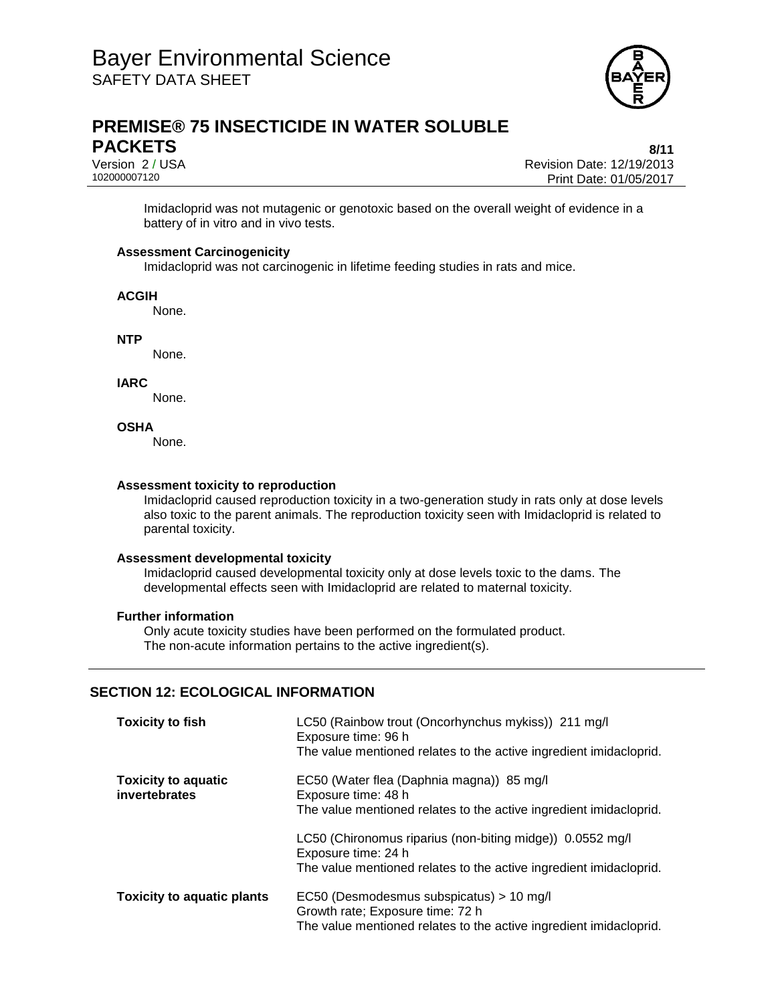

# **PREMISE® 75 INSECTICIDE IN WATER SOLUBLE PACKETS** 8/11

Version 2 / USA<br>10200007120<br>102000007120 Revision Date: 01/05/2017 Print Date: 01/05/2017

Imidacloprid was not mutagenic or genotoxic based on the overall weight of evidence in a battery of in vitro and in vivo tests.

### **Assessment Carcinogenicity**

Imidacloprid was not carcinogenic in lifetime feeding studies in rats and mice.

#### **ACGIH**

None.

**NTP**

None.

**IARC**

None.

### **OSHA**

None.

#### **Assessment toxicity to reproduction**

Imidacloprid caused reproduction toxicity in a two-generation study in rats only at dose levels also toxic to the parent animals. The reproduction toxicity seen with Imidacloprid is related to parental toxicity.

### **Assessment developmental toxicity**

Imidacloprid caused developmental toxicity only at dose levels toxic to the dams. The developmental effects seen with Imidacloprid are related to maternal toxicity.

### **Further information**

Only acute toxicity studies have been performed on the formulated product. The non-acute information pertains to the active ingredient(s).

### **SECTION 12: ECOLOGICAL INFORMATION**

| <b>Toxicity to fish</b>                     | LC50 (Rainbow trout (Oncorhynchus mykiss)) 211 mg/l<br>Exposure time: 96 h<br>The value mentioned relates to the active ingredient imidacloprid.       |
|---------------------------------------------|--------------------------------------------------------------------------------------------------------------------------------------------------------|
| <b>Toxicity to aquatic</b><br>invertebrates | EC50 (Water flea (Daphnia magna)) 85 mg/l<br>Exposure time: 48 h<br>The value mentioned relates to the active ingredient imidacloprid.                 |
|                                             | LC50 (Chironomus riparius (non-biting midge)) 0.0552 mg/l<br>Exposure time: 24 h<br>The value mentioned relates to the active ingredient imidacloprid. |
| <b>Toxicity to aquatic plants</b>           | $EC50$ (Desmodesmus subspicatus) > 10 mg/l<br>Growth rate; Exposure time: 72 h<br>The value mentioned relates to the active ingredient imidacloprid.   |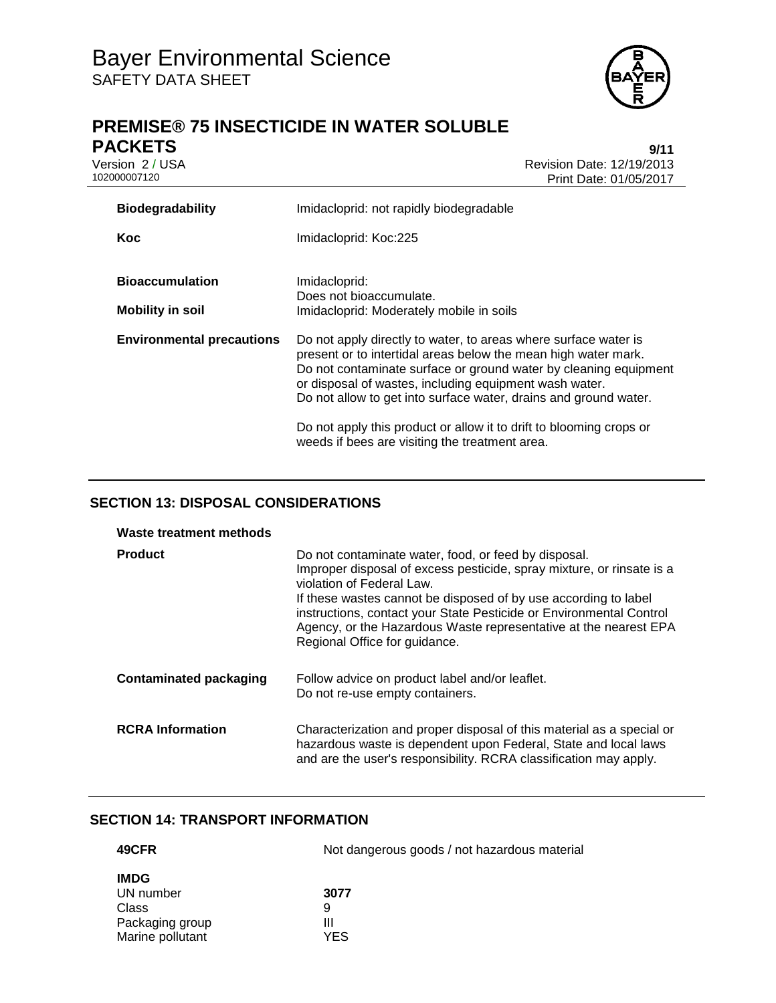

# **PREMISE® 75 INSECTICIDE IN WATER SOLUBLE PACKETS** 9/11<br>Version 2 / USA 9/15

Version 2 / USA <br>102000007120<br>Print Date: 01/05/2017 Print Date: 01/05/2017

| <b>Biodegradability</b>                           | Imidacloprid: not rapidly biodegradable                                                                                                                                                                                                                                                                                                                                                                                                                      |  |  |
|---------------------------------------------------|--------------------------------------------------------------------------------------------------------------------------------------------------------------------------------------------------------------------------------------------------------------------------------------------------------------------------------------------------------------------------------------------------------------------------------------------------------------|--|--|
| Koc                                               | Imidacloprid: Koc:225                                                                                                                                                                                                                                                                                                                                                                                                                                        |  |  |
| <b>Bioaccumulation</b><br><b>Mobility in soil</b> | Imidacloprid:<br>Does not bioaccumulate.<br>Imidacloprid: Moderately mobile in soils                                                                                                                                                                                                                                                                                                                                                                         |  |  |
| <b>Environmental precautions</b>                  | Do not apply directly to water, to areas where surface water is<br>present or to intertidal areas below the mean high water mark.<br>Do not contaminate surface or ground water by cleaning equipment<br>or disposal of wastes, including equipment wash water.<br>Do not allow to get into surface water, drains and ground water.<br>Do not apply this product or allow it to drift to blooming crops or<br>weeds if bees are visiting the treatment area. |  |  |

### **SECTION 13: DISPOSAL CONSIDERATIONS**

| Waste treatment methods       |                                                                                                                                                                                                                                                                                                                                                                                                           |
|-------------------------------|-----------------------------------------------------------------------------------------------------------------------------------------------------------------------------------------------------------------------------------------------------------------------------------------------------------------------------------------------------------------------------------------------------------|
| <b>Product</b>                | Do not contaminate water, food, or feed by disposal.<br>Improper disposal of excess pesticide, spray mixture, or rinsate is a<br>violation of Federal Law.<br>If these wastes cannot be disposed of by use according to label<br>instructions, contact your State Pesticide or Environmental Control<br>Agency, or the Hazardous Waste representative at the nearest EPA<br>Regional Office for guidance. |
| <b>Contaminated packaging</b> | Follow advice on product label and/or leaflet.<br>Do not re-use empty containers.                                                                                                                                                                                                                                                                                                                         |
| <b>RCRA</b> Information       | Characterization and proper disposal of this material as a special or<br>hazardous waste is dependent upon Federal, State and local laws<br>and are the user's responsibility. RCRA classification may apply.                                                                                                                                                                                             |

### **SECTION 14: TRANSPORT INFORMATION**

| 49CFR            | Not dangerous goods / not hazardous material |  |
|------------------|----------------------------------------------|--|
| <b>IMDG</b>      |                                              |  |
| UN number        | 3077                                         |  |
| Class            | 9                                            |  |
| Packaging group  | Ш                                            |  |
| Marine pollutant | YES                                          |  |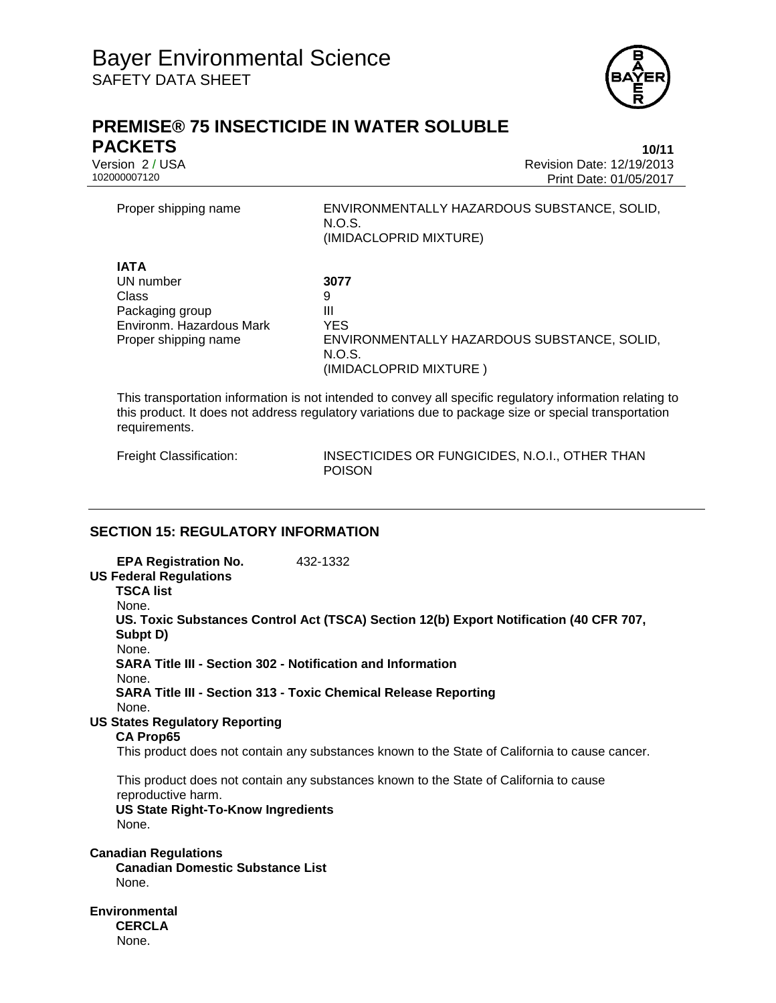

# **PREMISE® 75 INSECTICIDE IN WATER SOLUBLE PACKETS 10/11**

Version 2 / USA<br>10200007120<br>102000007120 Revision Date: 01/05/2017 Print Date: 01/05/2017

Proper shipping name ENVIRONMENTALLY HAZARDOUS SUBSTANCE, SOLID, N.O.S. (IMIDACLOPRID MIXTURE) **IATA** UN number **3077** Class 9 Packaging group III Environm. Hazardous Mark YES Proper shipping name ENVIRONMENTALLY HAZARDOUS SUBSTANCE, SOLID, N.O.S. (IMIDACLOPRID MIXTURE )

This transportation information is not intended to convey all specific regulatory information relating to this product. It does not address regulatory variations due to package size or special transportation requirements.

Freight Classification: INSECTICIDES OR FUNGICIDES, N.O.I., OTHER THAN POISON

### **SECTION 15: REGULATORY INFORMATION**

**EPA Registration No.** 432-1332 **US Federal Regulations TSCA list** None. **US. Toxic Substances Control Act (TSCA) Section 12(b) Export Notification (40 CFR 707, Subpt D)** None. **SARA Title III - Section 302 - Notification and Information** None. **SARA Title III - Section 313 - Toxic Chemical Release Reporting** None. **US States Regulatory Reporting CA Prop65** This product does not contain any substances known to the State of California to cause cancer. This product does not contain any substances known to the State of California to cause reproductive harm. **US State Right-To-Know Ingredients** None. **Canadian Regulations Canadian Domestic Substance List** None. **Environmental CERCLA** None.